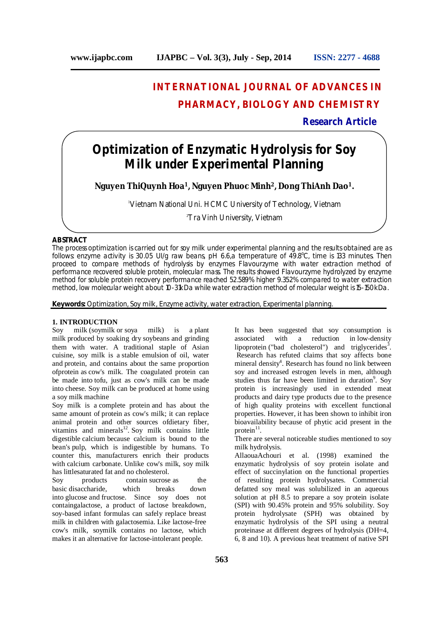# **INTERNATIONAL JOURNAL OF ADVANCES IN PHARMACY, BIOLOGY AND CHEMISTRY**

**Research Article**

# **Optimization of Enzymatic Hydrolysis for Soy Milk under Experimental Planning**

**Nguyen ThiQuynh Hoa<sup>1</sup>, Nguyen Phuoc Minh<sup>2</sup>, Dong ThiAnh Dao<sup>1</sup>.**

<sup>1</sup>Vietnam National Uni. HCMC University of Technology, Vietnam

<sup>2</sup>Tra Vinh University, Vietnam

# **ABSTRACT**

The process optimization is carried out for soy milk under experimental planning and the results obtained are as follows: enzyme activity is 30.05 UI/g raw beans, pH 6.6,a temperature of 49.8°C, time is 133 minutes. Then proceed to compare methods of hydrolysis by enzymes Flavourzyme with water extraction method of performance recovered soluble protein, molecular mass. The results showed Flavourzyme hydrolyzed by enzyme method for soluble protein recovery performance reached 52.589% higher 9.352% compared to water extraction method, low molecular weight about 10-31kDa while water extraction method of molecular weight is 15-150kDa.

**Keywords:** Optimization, Soy milk, Enzyme activity, water extraction, Experimental planning.

## **1. INTRODUCTION**

Soy milk (soymilk or soya milk) is a plant milk produced by soaking dry soybeans and grinding them with water. A traditional staple of Asian cuisine, soy milk is a stable emulsion of oil, water and protein, and contains about the same proportion ofprotein as cow's milk. The coagulated protein can be made into tofu, just as cow's milk can be made into cheese. Soy milk can be produced at home using a soy milk machine

Soy milk is a complete protein and has about the same amount of protein as cow's milk; it can replace animal protein and other sources ofdietary fiber, vitamins and minerals<sup>12</sup>. Soy milk contains little digestible calcium because calcium is bound to the bean's pulp, which is indigestible by humans. To counter this, manufacturers enrich their products with calcium carbonate. Unlike cow's milk, soy milk has littlesaturated fat and no cholesterol.

Soy products contain sucrose as the basic disaccharide, which breaks down into glucose and fructose. Since soy does not containgalactose, a product of lactose breakdown, soy-based infant formulas can safely replace breast milk in children with galactosemia. Like lactose-free cow's milk, soymilk contains no lactose, which makes it an alternative for lactose-intolerant people.

It has been suggested that soy consumption is associated with a reduction in low-density lipoprotein ("bad cholesterol") and triglycerides<sup>3</sup>. Research has refuted claims that soy affects bone mineral density 4 . Research has found no link between soy and increased estrogen levels in men, although studies thus far have been limited in duration<sup>9</sup>. Soy protein is increasingly used in extended meat products and dairy type products due to the presence of high quality proteins with excellent functional properties. However, it has been shown to inhibit iron bioavailability because of phytic acid present in the protein<sup>11</sup>.

There are several noticeable studies mentioned to soy milk hydrolysis.

AllaouaAchouri et al. (1998) examined the enzymatic hydrolysis of soy protein isolate and effect of succinylation on the functional properties of resulting protein hydrolysates. Commercial defatted soy meal was solubilized in an aqueous solution at pH 8.5 to prepare a soy protein isolate (SPI) with 90.45% protein and 95% solubility. Soy protein hydrolysate (SPH) was obtained by enzymatic hydrolysis of the SPI using a neutral proteinase at different degrees of hydrolysis (DH=4, 6, 8 and 10). A previous heat treatment of native SPI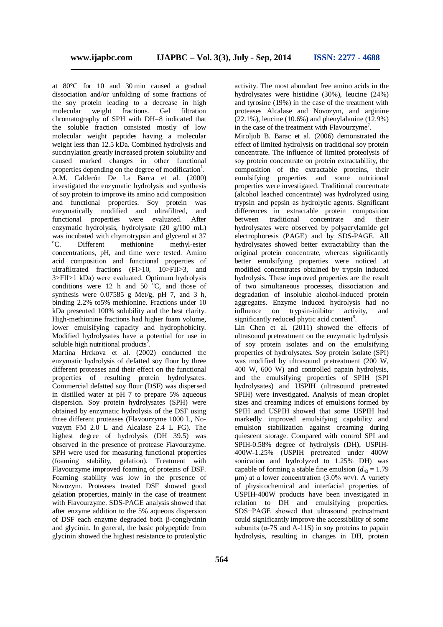at 80°C for 10 and 30 min caused a gradual dissociation and/or unfolding of some fractions of the soy protein leading to a decrease in high<br>molecular weight fractions. Gel filtration molecular weight fractions. Gel filtration chromatography of SPH with DH=8 indicated that the soluble fraction consisted mostly of low molecular weight peptides having a molecular weight less than 12.5 kDa. Combined hydrolysis and succinylation greatly increased protein solubility and caused marked changes in other functional properties depending on the degree of modification<sup>1</sup>. A.M. Calderón De La Barca et al. (2000) investigated the enzymatic hydrolysis and synthesis of soy protein to improve its amino acid composition and functional properties. Soy protein was enzymatically modified and ultrafiltred, and functional properties were evaluated. After enzymatic hydrolysis, hydrolysate (20 g/100 mL) was incubated with chymotrypsin and glycerol at 37<br>
<sup>o</sup>C. Different methionine methyl-ester Different methionine methyl-ester concentrations, pH, and time were tested. Amino acid composition and functional properties of ultrafiltrated fractions (FI>10, 10>FII>3, and 3>FII>1 kDa) were evaluated. Optimum hydrolysis conditions were 12 h and  $50^{\circ}$ °C, and those of synthesis were  $0.07585$  g Met/g, pH 7, and 3 h, binding 2.2% to5% methionine. Fractions under 10 kDa presented 100% solubility and the best clarity. High-methionine fractions had higher foam volume, lower emulsifying capacity and hydrophobicity. Modified hydrolysates have a potential for use in soluble high nutritional products<sup>2</sup>.

Martina Hrckova et al. (2002) conducted the enzymatic hydrolysis of defatted soy flour by three different proteases and their effect on the functional properties of resulting protein hydrolysates. Commercial defatted soy flour (DSF) was dispersed in distilled water at pH 7 to prepare 5% aqueous dispersion. Soy protein hydrolysates (SPH) were obtained by enzymatic hydrolysis of the DSF using three different proteases (Flavourzyme 1000 L, Novozym FM 2.0 L and Alcalase 2.4 L FG). The highest degree of hydrolysis (DH 39.5) was observed in the presence of protease Flavourzyme. SPH were used for measuring functional properties (foaming stability, gelation). Treatment with Flavourzyme improved foaming of proteins of DSF. Foaming stability was low in the presence of Novozym. Proteases treated DSF showed good gelation properties, mainly in the case of treatment with Flavourzyme. SDS-PAGE analysis showed that after enzyme addition to the 5% aqueous dispersion of DSF each enzyme degraded both β-conglycinin and glycinin. In general, the basic polypeptide from glycinin showed the highest resistance to proteolytic

activity. The most abundant free amino acids in the hydrolysates were histidine (30%), leucine (24%) and tyrosine (19%) in the case of the treatment with proteases Alcalase and Novozym, and arginine  $(22.1\%)$ , leucine (10.6%) and phenylalanine (12.9%) in the case of the treatment with Flavourzyme<sup>7</sup>.

Miroliub B. Barac et al. (2006) demonstrated the effect of limited hydrolysis on traditional soy protein concentrate. The influence of limited proteolysis of soy protein concentrate on protein extractability, the composition of the extractable proteins, their emulsifying properties and some nutritional properties were investigated. Traditional concentrate (alcohol leached concentrate) was hydrolyzed using trypsin and pepsin as hydrolytic agents. Significant differences in extractable protein composition between traditional concentrate and their hydrolysates were observed by polyacrylamide gel electrophoresis (PAGE) and by SDS-PAGE. All hydrolysates showed better extractability than the original protein concentrate, whereas significantly better emulsifying properties were noticed at modified concentrates obtained by trypsin induced hydrolysis. These improved properties are the result of two simultaneous processes, dissociation and degradation of insoluble alcohol-induced protein aggregates. Enzyme induced hydrolysis had no influence on trypsin-inibitor activity, and significantly reduced phytic acid content<sup>8</sup>.

Lin Chen et al. (2011) showed the effects of ultrasound pretreatment on the enzymatic hydrolysis of soy protein isolates and on the emulsifying properties of hydrolysates. Soy protein isolate (SPI) was modified by ultrasound pretreatment (200 W, 400 W, 600 W) and controlled papain hydrolysis, and the emulsifying properties of SPIH (SPI hydrolysates) and USPIH (ultrasound pretreated SPIH) were investigated. Analysis of mean droplet sizes and creaming indices of emulsions formed by SPIH and USPIH showed that some USPIH had markedly improved emulsifying capability and emulsion stabilization against creaming during quiescent storage. Compared with control SPI and SPIH-0.58% degree of hydrolysis (DH), USPIH-400W-1.25% (USPIH pretreated under 400W sonication and hydrolyzed to 1.25% DH) was capable of forming a stable fine emulsion  $(d_{43} = 1.79)$  $\mu$ m) at a lower concentration (3.0% w/v). A variety of physicochemical and interfacial properties of USPIH-400W products have been investigated in relation to DH and emulsifying properties. SDS−PAGE showed that ultrasound pretreatment could significantly improve the accessibility of some subunits ( $\alpha$ -7S and A-11S) in soy proteins to papain hydrolysis, resulting in changes in DH, protein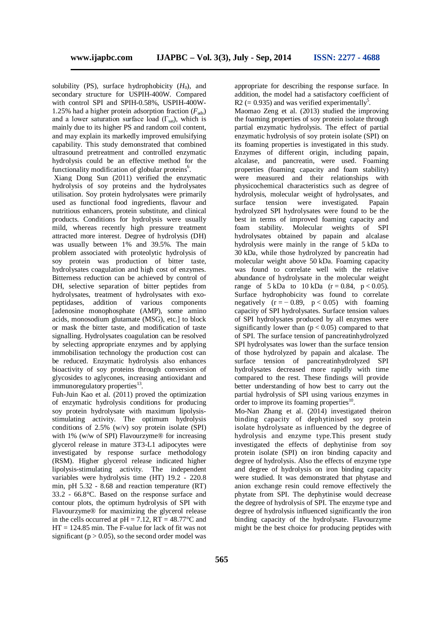solubility (PS), surface hydrophobicity  $(H_0)$ , and secondary structure for USPIH-400W. Compared with control SPI and SPIH-0.58%, USPIH-400W-1.25% had a higher protein adsorption fraction  $(F_{\text{ads}})$ and a lower saturation surface load  $(\Gamma_{sat})$ , which is mainly due to its higher PS and random coil content, and may explain its markedly improved emulsifying capability. This study demonstrated that combined ultrasound pretreatment and controlled enzymatic hydrolysis could be an effective method for the functionality modification of globular proteins<sup>6</sup>.

Xiang Dong Sun (2011) verified the enzymatic hydrolysis of soy proteins and the hydrolysates utilisation. Soy protein hydrolysates were primarily used as functional food ingredients, flavour and nutritious enhancers, protein substitute, and clinical products. Conditions for hydrolysis were usually mild, whereas recently high pressure treatment attracted more interest. Degree of hydrolysis (DH) was usually between 1% and 39.5%. The main problem associated with proteolytic hydrolysis of soy protein was production of bitter taste, hydrolysates coagulation and high cost of enzymes. Bitterness reduction can be achieved by control of DH, selective separation of bitter peptides from hydrolysates, treatment of hydrolysates with exopeptidases, addition of various components [adenosine monophosphate (AMP), some amino acids, monosodium glutamate (MSG), etc.] to block or mask the bitter taste, and modification of taste signalling. Hydrolysates coagulation can be resolved by selecting appropriate enzymes and by applying immobilisation technology the production cost can be reduced. Enzymatic hydrolysis also enhances bioactivity of soy proteins through conversion of glycosides to aglycones, increasing antioxidant and immunoregulatory properties<sup>13</sup>.

Fuh-Juin Kao et al. (2011) proved the optimization of enzymatic hydrolysis conditions for producing soy protein hydrolysate with maximum lipolysisstimulating activity. The optimum hydrolysis conditions of 2.5% (w/v) soy protein isolate (SPI) with 1% (w/w of SPI) Flavourzyme® for increasing glycerol release in mature 3T3-L1 adipocytes were investigated by response surface methodology (RSM). Higher glycerol release indicated higher lipolysis-stimulating activity. The independent variables were hydrolysis time (HT) 19.2 - 220.8 min, pH 5.32 - 8.68 and reaction temperature (RT) 33.2 - 66.8°C. Based on the response surface and contour plots, the optimum hydrolysis of SPI with Flavourzyme® for maximizing the glycerol release in the cells occurred at  $pH = 7.12$ ,  $RT = 48.77$ °C and HT = 124.85 min. The F-value for lack of fit was not significant ( $p > 0.05$ ), so the second order model was appropriate for describing the response surface. In addition, the model had a satisfactory coefficient of R2 (= 0.935) and was verified experimentally<sup>5</sup>.

Maomao Zeng et al. (2013) studied the improving the foaming properties of soy protein isolate through partial enzymatic hydrolysis. The effect of partial enzymatic hydrolysis of soy protein isolate (SPI) on its foaming properties is investigated in this study. Enzymes of different origin, including papain, alcalase, and pancreatin, were used. Foaming properties (foaming capacity and foam stability) were measured and their relationships with physicochemical characteristics such as degree of hydrolysis, molecular weight of hydrolysates, and surface tension were investigated. Papain hydrolyzed SPI hydrolysates were found to be the best in terms of improved foaming capacity and foam stability. Molecular weights of SPI hydrolysates obtained by papain and alcalase hydrolysis were mainly in the range of 5 kDa to 30 kDa, while those hydrolyzed by pancreatin had molecular weight above 50 kDa. Foaming capacity was found to correlate well with the relative abundance of hydrolysate in the molecular weight range of  $5 \text{ kDa}$  to  $10 \text{ kDa}$  (r = 0.84, p < 0.05). Surface hydrophobicity was found to correlate negatively  $(r = -0.89, p < 0.05)$  with foaming capacity of SPI hydrolysates. Surface tension values of SPI hydrolysates produced by all enzymes were significantly lower than  $(p < 0.05)$  compared to that of SPI. The surface tension of pancreatinhydrolyzed SPI hydrolysates was lower than the surface tension of those hydrolyzed by papain and alcalase. The surface tension of pancreatinhydrolyzed SPI hydrolysates decreased more rapidly with time compared to the rest. These findings will provide better understanding of how best to carry out the partial hydrolysis of SPI using various enzymes in order to improve its foaming properties<sup>10</sup>.

Mo-Nan Zhang et al. (2014) investigated theiron binding capacity of dephytinised soy protein isolate hydrolysate as influenced by the degree of hydrolysis and enzyme type.This present study investigated the effects of dephytinise from soy protein isolate (SPI) on iron binding capacity and degree of hydrolysis. Also the effects of enzyme type and degree of hydrolysis on iron binding capacity were studied. It was demonstrated that phytase and anion exchange resin could remove effectively the phytate from SPI. The dephytinise would decrease the degree of hydrolysis of SPI. The enzyme type and degree of hydrolysis influenced significantly the iron binding capacity of the hydrolysate. Flavourzyme might be the best choice for producing peptides with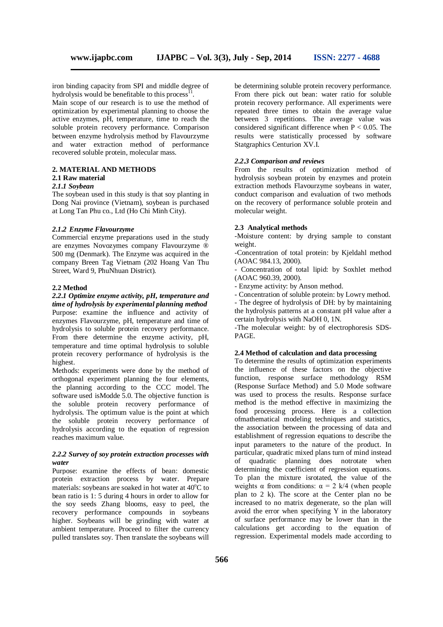iron binding capacity from SPI and middle degree of hydrolysis would be benefitable to this process<sup>11</sup>.

Main scope of our research is to use the method of optimization by experimental planning to choose the active enzymes, pH, temperature, time to reach the soluble protein recovery performance. Comparison between enzyme hydrolysis method by Flavourzyme and water extraction method of performance recovered soluble protein, molecular mass.

# **2. MATERIAL AND METHODS**

# **2.1 Raw material**

# *2.1.1 Soybean*

The soybean used in this study is that soy planting in Dong Nai province (Vietnam), soybean is purchased at Long Tan Phu co., Ltd (Ho Chi Minh City).

#### *2.1.2 Enzyme Flavourzyme*

Commercial enzyme preparations used in the study are enzymes Novozymes company Flavourzyme ® 500 mg (Denmark). The Enzyme was acquired in the company Breen Tag Vietnam (202 Hoang Van Thu Street, Ward 9, PhuNhuan District).

#### **2.2 Method**

#### *2.2.1 Optimize enzyme activity, pH, temperature and time of hydrolysis by experimental planning method*

Purpose: examine the influence and activity of enzymes Flavourzyme, pH, temperature and time of hydrolysis to soluble protein recovery performance. From there determine the enzyme activity, pH, temperature and time optimal hydrolysis to soluble protein recovery performance of hydrolysis is the highest.

Methods: experiments were done by the method of orthogonal experiment planning the four elements, the planning according to the CCC model. The software used isModde 5.0. The objective function is the soluble protein recovery performance of hydrolysis. The optimum value is the point at which the soluble protein recovery performance of hydrolysis according to the equation of regression reaches maximum value.

## *2.2.2 Survey of soy protein extraction processes with water*

Purpose: examine the effects of bean: domestic protein extraction process by water. Prepare materials: soybeans are soaked in hot water at  $40^{\circ}$ C to bean ratio is 1: 5 during 4 hours in order to allow for the soy seeds Zhang blooms, easy to peel, the recovery performance compounds in soybeans higher. Soybeans will be grinding with water at ambient temperature. Proceed to filter the currency pulled translates soy. Then translate the soybeans will

be determining soluble protein recovery performance. From there pick out bean: water ratio for soluble protein recovery performance. All experiments were repeated three times to obtain the average value between 3 repetitions. The average value was considered significant difference when  $P < 0.05$ . The results were statistically processed by software Statgraphics Centurion XV.I.

### *2.2.3 Comparison and reviews*

From the results of optimization method of hydrolysis soybean protein by enzymes and protein extraction methods Flavourzyme soybeans in water, conduct comparison and evaluation of two methods on the recovery of performance soluble protein and molecular weight.

#### **2.3 Analytical methods**

-Moisture content: by drying sample to constant weight.

-Concentration of total protein: by Kjeldahl method (AOAC 984.13, 2000).

- Concentration of total lipid: by Soxhlet method (AOAC 960.39, 2000).

- Enzyme activity: by Anson method.

- Concentration of soluble protein: by Lowry method.

- The degree of hydrolysis of DH: by by maintaining the hydrolysis patterns at a constant pH value after a certain hydrolysis with NaOH 0, 1N.

-The molecular weight: by of electrophoresis SDS-PAGE.

#### **2.4 Method of calculation and data processing**

To determine the results of optimization experiments the influence of these factors on the objective function, response surface methodology RSM (Response Surface Method) and 5.0 Mode software was used to process the results. Response surface method is the method effective in maximizing the food processing process. Here is a collection ofmathematical modeling techniques and statistics, the association between the processing of data and establishment of regression equations to describe the input parameters to the nature of the product. In particular, quadratic mixed plans turn of mind instead of quadratic planning does notrotate when determining the coefficient of regression equations. To plan the mixture isrotated, the value of the weights  $\alpha$  from conditions:  $\alpha = 2$  k/4 (when people plan to 2 k). The score at the Center plan no be increased to no matrix degenerate, so the plan will avoid the error when specifying Y in the laboratory of surface performance may be lower than in the calculations get according to the equation of regression. Experimental models made according to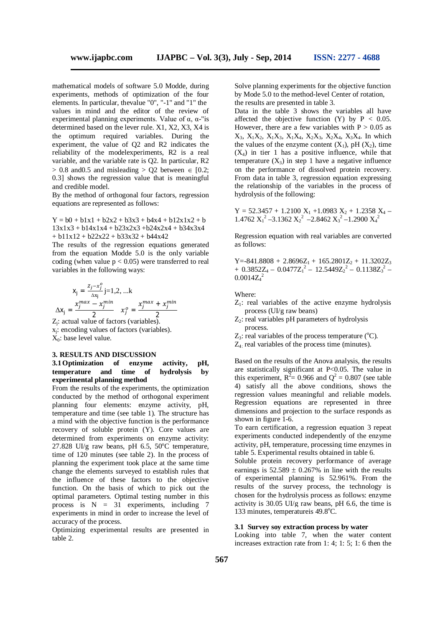mathematical models of software 5.0 Modde, during experiments, methods of optimization of the four elements. In particular, thevalue "0", "-1" and "1" the values in mind and the editor of the review of experimental planning experiments. Value of  $\alpha$ ,  $\alpha$ -"is determined based on the lever rule. X1, X2, X3, X4 is the optimum required variables. During the experiment, the value of Q2 and R2 indicates the reliability of the modelexperiments, R2 is a real variable, and the variable rate is Q2. In particular, R2  $> 0.8$  and 0.5 and misleading  $> Q2$  between  $\in [0.2;$ 0.3] shows the regression value that is meaningful and credible model.

By the method of orthogonal four factors, regression equations are represented as follows:

$$
Y = b0 + b1x1 + b2x2 + b3x3 + b4x4 + b12x1x2 + b
$$
  
13x1x3 + b14x1x4 + b23x2x3 + b24x2x4 + b34x3x4  
+ b11x12 + b22x22 + b33x32 + b44x42

The results of the regression equations generated from the equation Modde 5.0 is the only variable coding (when value  $p < 0.05$ ) were transferred to real variables in the following ways:

$$
x_{j} = \frac{z_{j} - x_{j}^{\circ}}{\Delta x_{j}} j = 1, 2, ...k
$$
  

$$
\Delta x_{j} = \frac{x_{j}^{max} - x_{j}^{min}}{2} \qquad x_{j}^{\circ} = \frac{x_{j}^{max} + x_{j}^{min}}{2}
$$

Zj : actual value of factors (variables).  $x_i$ : encoding values of factors (variables).  $X_0$ : base level value.

#### **3. RESULTS AND DISCUSSION 3.1Optimization of enzyme activity, pH, temperature and time of hydrolysis by experimental planning method**

From the results of the experiments, the optimization conducted by the method of orthogonal experiment planning four elements: enzyme activity, pH, temperature and time (see table 1). The structure has a mind with the objective function is the performance recovery of soluble protein (Y). Core values are determined from experiments on enzyme activity: 27.828 UI/g raw beans, pH 6.5,  $50^{\circ}$ C temperature, time of 120 minutes (see table 2). In the process of planning the experiment took place at the same time change the elements surveyed to establish rules that the influence of these factors to the objective function. On the basis of which to pick out the optimal parameters. Optimal testing number in this process is  $N = 31$  experiments, including 7 experiments in mind in order to increase the level of accuracy of the process.

Optimizing experimental results are presented in table 2.

Solve planning experiments for the objective function by Mode 5.0 to the method-level Center of rotation, the results are presented in table 3.

Data in the table 3 shows the variables all have affected the objective function  $(Y)$  by  $P < 0.05$ . However, there are a few variables with  $P > 0.05$  as  $X_3$ ,  $X_1X_2$ ,  $X_1X_3$ ,  $X_1X_4$ ,  $X_2X_3$ ,  $X_2X_4$ ,  $X_3X_4$ . In which the values of the enzyme content  $(X_1)$ , pH  $(X_2)$ , time  $(X_4)$  in tier 1 has a positive influence, while that temperature  $(X_3)$  in step 1 have a negative influence on the performance of dissolved protein recovery. From data in table 3, regression equation expressing the relationship of the variables in the process of hydrolysis of the following:

 $Y = 52.3457 + 1.2100 X_1 + 1.0983 X_2 + 1.2358 X_4$ 1.4762  $X_1^2$  –3.1362  $X_2^2$  –2.8462  $X_3^2$  –1.2900  $X_4^2$ 

Regression equation with real variables are converted as follows:

 $Y = -841.8808 + 2.8696Z_1 + 165.2801Z_2 + 11.3202Z_3$  $+$  0.3852Z<sub>4</sub> – 0.0477Z<sub>1</sub><sup>2</sup> – 12.5449Z<sub>2</sub><sup>2</sup> – 0.1138Z<sub>3</sub><sup>2</sup> –  $0.0014Z_4^2$ 

Where:

- $Z_1$ : real variables of the active enzyme hydrolysis process (UI/g raw beans)
- $Z_2$ : real variables pH parameters of hydrolysis process.
- $Z_3$ : real variables of the process temperature ( ${}^{\circ}C$ ).

 $Z_4$ : real variables of the process time (minutes).

Based on the results of the Anova analysis, the results are statistically significant at P<0.05. The value in this experiment,  $R^2 = 0.966$  and  $Q^2 = 0.807$  (see table 4) satisfy all the above conditions, shows the regression values meaningful and reliable models. Regression equations are represented in three dimensions and projection to the surface responds as shown in figure 1-6.

To earn certification, a regression equation 3 repeat experiments conducted independently of the enzyme activity, pH, temperature, processing time enzymes in table 5. Experimental results obtained in table 6.

Soluble protein recovery performance of average earnings is  $52.589 \pm 0.267\%$  in line with the results of experimental planning is 52.961%. From the results of the survey process, the technology is chosen for the hydrolysis process as follows: enzyme activity is  $30.05$  UI/g raw beans, pH 6.6, the time is 133 minutes, temperatureis 49.8°C.

#### **3.1 Survey soy extraction process by water**

Looking into table 7, when the water content increases extraction rate from 1: 4; 1: 5; 1: 6 then the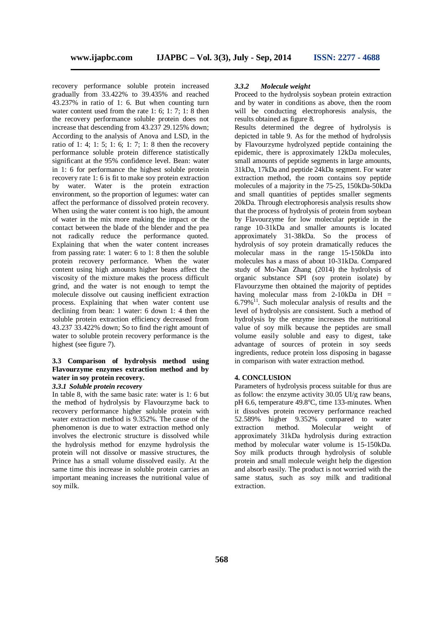recovery performance soluble protein increased gradually from 33.422% to 39.435% and reached 43.237% in ratio of 1: 6. But when counting turn water content used from the rate 1: 6; 1: 7; 1: 8 then the recovery performance soluble protein does not increase that descending from 43.237 29.125% down; According to the analysis of Anova and LSD, in the ratio of 1: 4; 1: 5; 1: 6; 1: 7; 1: 8 then the recovery performance soluble protein difference statistically significant at the 95% confidence level. Bean: water in 1: 6 for performance the highest soluble protein recovery rate 1: 6 is fit to make soy protein extraction by water. Water is the protein extraction environment, so the proportion of legumes: water can affect the performance of dissolved protein recovery. When using the water content is too high, the amount of water in the mix more making the impact or the contact between the blade of the blender and the pea not radically reduce the performance quoted. Explaining that when the water content increases from passing rate: 1 water: 6 to 1: 8 then the soluble protein recovery performance. When the water content using high amounts higher beans affect the viscosity of the mixture makes the process difficult grind, and the water is not enough to tempt the molecule dissolve out causing inefficient extraction process. Explaining that when water content use declining from bean: 1 water: 6 down 1: 4 then the soluble protein extraction efficiency decreased from 43.237 33.422% down; So to find the right amount of water to soluble protein recovery performance is the highest (see figure 7).

# **3.3 Comparison of hydrolysis method using Flavourzyme enzymes extraction method and by water in soy protein recovery.**

#### *3.3.1 Soluble protein recovery*

In table 8, with the same basic rate: water is 1: 6 but the method of hydrolysis by Flavourzyme back to recovery performance higher soluble protein with water extraction method is 9.352%. The cause of the phenomenon is due to water extraction method only involves the electronic structure is dissolved while the hydrolysis method for enzyme hydrolysis the protein will not dissolve or massive structures, the Prince has a small volume dissolved easily. At the same time this increase in soluble protein carries an important meaning increases the nutritional value of soy milk.

## *3.3.2 Molecule weight*

Proceed to the hydrolysis soybean protein extraction and by water in conditions as above, then the room will be conducting electrophoresis analysis, the results obtained as figure 8.

Results determined the degree of hydrolysis is depicted in table 9. As for the method of hydrolysis by Flavourzyme hydrolyzed peptide containing the epidemic, there is approximately 12kDa molecules, small amounts of peptide segments in large amounts, 31kDa, 17kDa and peptide 24kDa segment. For water extraction method, the room contains soy peptide molecules of a majority in the 75-25, 150kDa-50kDa and small quantities of peptides smaller segments 20kDa. Through electrophoresis analysis results show that the process of hydrolysis of protein from soybean by Flavourzyme for low molecular peptide in the range 10-31kDa and smaller amounts is located approximately 31-38kDa. So the process of hydrolysis of soy protein dramatically reduces the molecular mass in the range 15-150kDa into molecules has a mass of about 10-31kDa. Compared study of Mo-Nan Zhang (2014) the hydrolysis of organic substance SPI (soy protein isolate) by Flavourzyme then obtained the majority of peptides having molecular mass from 2-10kDa in DH  $=$  $6.79\%$ <sup>11</sup>. Such molecular analysis of results and the level of hydrolysis are consistent. Such a method of hydrolysis by the enzyme increases the nutritional value of soy milk because the peptides are small volume easily soluble and easy to digest, take advantage of sources of protein in soy seeds ingredients, reduce protein loss disposing in bagasse in comparison with water extraction method.

#### **4. CONCLUSION**

Parameters of hydrolysis process suitable for thus are as follow: the enzyme activity 30.05 UI/g raw beans, pH 6.6, temperature 49.8°C, time 133-minutes. When it dissolves protein recovery performance reached 52.589% higher 9.352% compared to water extraction method. Molecular weight of approximately 31kDa hydrolysis during extraction method by molecular water volume is 15-150kDa. Soy milk products through hydrolysis of soluble protein and small molecule weight help the digestion and absorb easily. The product is not worried with the same status, such as soy milk and traditional extraction.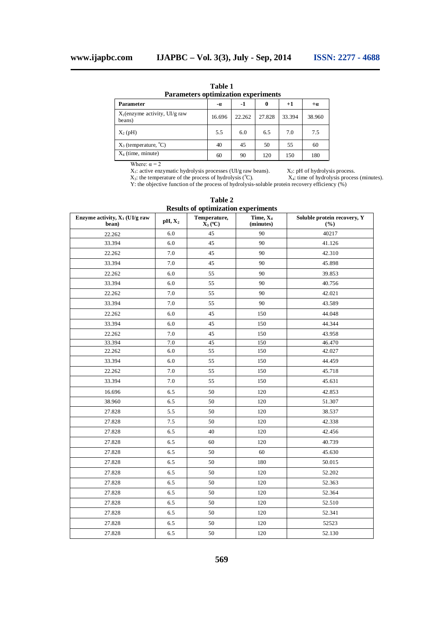**Table 1 Parameters optimization experiments**

| <b>Parameter</b>                           | -0.    | $-1$   | 0      | $+1$   | $+a$   |
|--------------------------------------------|--------|--------|--------|--------|--------|
| $X_1$ (enzyme activity, UI/g raw<br>beans) | 16.696 | 22.262 | 27.828 | 33.394 | 38.960 |
| $X_2(pH)$                                  | 5.5    | 6.0    | 6.5    | 7.0    | 7.5    |
| $X_3$ (temperature, $^{\circ}C$ )          | 40     | 45     | 50     | 55     | 60     |
| $X_4$ (time, minute)                       | 60     | 90     | 120    | 150    | 180    |

Where:  $\alpha = 2$ 

 $X_1$ : active enzymatic hydrolysis processes (UI/g raw beans).  $X_2$ : pH of hydrolysis process.  $X_3$ : the temperature of the process of hydrolysis (°C).  $X_4$ : time of hydrolysis process (minutes).

Y: the objective function of the process of hydrolysis-soluble protein recovery efficiency (%)

| Enzyme activity, $X_1$ (UI/g raw<br>bean) | $pH, X_2$ | Temperature,<br>$\overline{X}_3$ (°C) | Time, $X_4$<br>(minutes) | Soluble protein recovery, Y<br>(%) |
|-------------------------------------------|-----------|---------------------------------------|--------------------------|------------------------------------|
| 22.262                                    | 6.0       | 45                                    | 90                       | 40217                              |
| 33.394                                    | 6.0       | 45                                    | 90                       | 41.126                             |
| 22.262                                    | 7.0       | 45                                    | 90                       | 42.310                             |
| 33.394                                    | 7.0       | 45                                    | 90                       | 45.898                             |
| 22.262                                    | 6.0       | 55                                    | 90                       | 39.853                             |
| 33.394                                    | 6.0       | 55                                    | 90                       | 40.756                             |
| 22.262                                    | 7.0       | 55                                    | 90                       | 42.021                             |
| 33.394                                    | 7.0       | 55                                    | 90                       | 43.589                             |
| 22.262                                    | 6.0       | 45                                    | 150                      | 44.048                             |
| 33.394                                    | 6.0       | 45                                    | 150                      | 44.344                             |
| 22.262                                    | 7.0       | 45                                    | 150                      | 43.958                             |
| 33.394                                    | 7.0       | 45                                    | 150                      | 46.470                             |
| 22.262                                    | $6.0\,$   | 55                                    | 150                      | 42.027                             |
| 33.394                                    | 6.0       | 55                                    | 150                      | 44.459                             |
| 22.262                                    | 7.0       | 55                                    | 150                      | 45.718                             |
| 33.394                                    | 7.0       | 55                                    | 150                      | 45.631                             |
| 16.696                                    | 6.5       | 50                                    | 120                      | 42.853                             |
| 38.960                                    | 6.5       | 50                                    | 120                      | 51.307                             |
| 27.828                                    | 5.5       | 50                                    | 120                      | 38.537                             |
| 27.828                                    | 7.5       | 50                                    | 120                      | 42.338                             |
| 27.828                                    | 6.5       | 40                                    | 120                      | 42.456                             |
| 27.828                                    | 6.5       | 60                                    | 120                      | 40.739                             |
| 27.828                                    | 6.5       | 50                                    | 60                       | 45.630                             |
| 27.828                                    | 6.5       | 50                                    | 180                      | 50.015                             |
| 27.828                                    | 6.5       | 50                                    | 120                      | 52.202                             |
| 27.828                                    | 6.5       | 50                                    | 120                      | 52.363                             |
| 27.828                                    | 6.5       | 50                                    | 120                      | 52.364                             |
| 27.828                                    | 6.5       | 50                                    | 120                      | 52.510                             |
| 27.828                                    | 6.5       | 50                                    | 120                      | 52.341                             |
| 27.828                                    | 6.5       | 50                                    | 120                      | 52523                              |
| 27.828                                    | 6.5       | 50                                    | 120                      | 52.130                             |

**Table 2 Results of optimization experiments**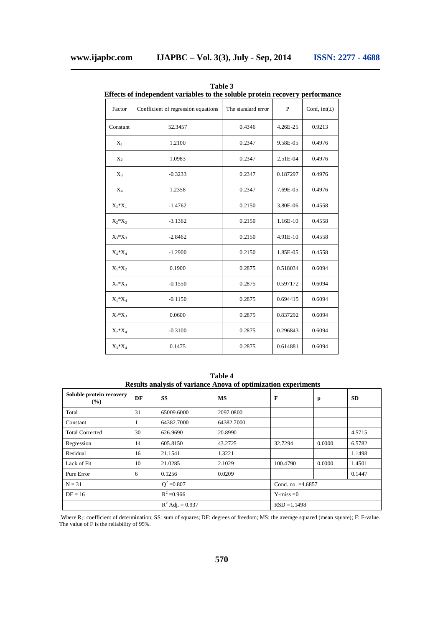|             | Effects of independent variables to the soluble protein recovery performanc |                    |              |                  |
|-------------|-----------------------------------------------------------------------------|--------------------|--------------|------------------|
| Factor      | Coefficient of regression equations                                         | The standard error | $\, {\bf P}$ | Conf, $int(\pm)$ |
| Constant    | 52.3457                                                                     | 0.4346             | 4.26E-25     | 0.9213           |
| $X_1$       | 1.2100                                                                      | 0.2347             | 9.58E-05     | 0.4976           |
| $X_2$       | 1.0983                                                                      | 0.2347             | 2.51E-04     | 0.4976           |
| $X_3$       | $-0.3233$                                                                   | 0.2347             | 0.187297     | 0.4976           |
| $X_4$       | 1.2358                                                                      | 0.2347             | 7.69E-05     | 0.4976           |
| $X_1^*X_1$  | $-1.4762$                                                                   | 0.2150             | 3.80E-06     | 0.4558           |
| $X_2^*X_2$  | $-3.1362$                                                                   | 0.2150             | 1.16E-10     | 0.4558           |
| $X_3^*X_3$  | $-2.8462$                                                                   | 0.2150             | 4.91E-10     | 0.4558           |
| $X_4 * X_4$ | $-1.2900$                                                                   | 0.2150             | 1.85E-05     | 0.4558           |
| $X_1^*X_2$  | 0.1900                                                                      | 0.2875             | 0.518034     | 0.6094           |
| $X_1^*X_3$  | $-0.1550$                                                                   | 0.2875             | 0.597172     | 0.6094           |
| $X_1^*X_4$  | $-0.1150$                                                                   | 0.2875             | 0.694415     | 0.6094           |
| $X_2^*X_3$  | 0.0600                                                                      | 0.2875             | 0.837292     | 0.6094           |
| $X_2^*X_4$  | $-0.3100$                                                                   | 0.2875             | 0.296843     | 0.6094           |
| $X_3^*X_4$  | 0.1475                                                                      | 0.2875             | 0.614881     | 0.6094           |

**Table 3 Effects of independent variables to the soluble protein recovery performance**

**Table 4 Results analysis of variance Anova of optimization experiments**

| Soluble protein recovery<br>$($ %) | DF | <b>SS</b>          | MS         | F                   | $\mathbf{p}$ | <b>SD</b> |
|------------------------------------|----|--------------------|------------|---------------------|--------------|-----------|
| Total                              | 31 | 65009.6000         | 2097.0800  |                     |              |           |
| Constant                           |    | 64382.7000         | 64382.7000 |                     |              |           |
| <b>Total Corrected</b>             | 30 | 626.9690           | 20.8990    |                     |              | 4.5715    |
| Regression                         | 14 | 605.8150           | 43.2725    | 32.7294             | 0.0000       | 6.5782    |
| Residual                           | 16 | 21.1541            | 1.3221     |                     |              | 1.1498    |
| Lack of Fit                        | 10 | 21.0285            | 2.1029     | 100.4790            | 0.0000       | 1.4501    |
| Pure Error                         | 6  | 0.1256             | 0.0209     |                     |              | 0.1447    |
| $N = 31$                           |    | $Q^2 = 0.807$      |            | Cond. no. $=4.6857$ |              |           |
| $DF = 16$                          |    | $R^2 = 0.966$      |            | $Y$ -miss = 0       |              |           |
|                                    |    | $R^2$ Adj. = 0.937 |            | $RSD = 1.1498$      |              |           |

Where R<sub>2</sub>: coefficient of determination; SS: sum of squares; DF: degrees of freedom; MS: the average squared (mean square); F: F-value. The value of F is the reliability of 95%.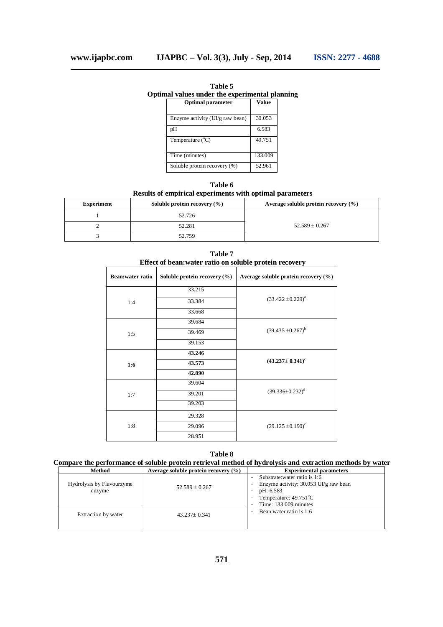**Table 5 Optimal values under the experimental planning Optimal parameter Value**

| Enzyme activity (UI/g raw bean) | 30.053  |
|---------------------------------|---------|
| pH                              | 6.583   |
| Temperature $(^{\circ}C)$       | 49.751  |
| Time (minutes)                  | 133.009 |
| Soluble protein recovery (%)    | 52.961  |

**Table 6 Results of empirical experiments with optimal parameters**

| <b>Experiment</b> | Soluble protein recovery $(\% )$ | Average soluble protein recovery $(\% )$ |
|-------------------|----------------------------------|------------------------------------------|
|                   | 52.726                           |                                          |
|                   | 52.281                           | $52.589 \pm 0.267$                       |
|                   | 52.759                           |                                          |

|                         | Effect of bean; water ratio on soluble protein recovery |                                      |  |  |  |
|-------------------------|---------------------------------------------------------|--------------------------------------|--|--|--|
| <b>Bean:water ratio</b> | Soluble protein recovery (%)                            | Average soluble protein recovery (%) |  |  |  |
|                         | 33.215                                                  |                                      |  |  |  |
| 1:4                     | 33.384                                                  | $(33.422 \pm 0.229)^a$               |  |  |  |
|                         | 33.668                                                  |                                      |  |  |  |
|                         | 39.684                                                  |                                      |  |  |  |
| 1:5                     | 39.469                                                  | $(39.435 \pm 0.267)^b$               |  |  |  |
|                         | 39.153                                                  |                                      |  |  |  |
|                         | 43.246                                                  |                                      |  |  |  |
| 1:6                     | 43.573                                                  | $(43.237 \pm 0.341)^c$               |  |  |  |
|                         | 42.890                                                  |                                      |  |  |  |
|                         | 39.604                                                  |                                      |  |  |  |
| 1:7                     | 39.201                                                  | $(39.336 \pm 0.232)^d$               |  |  |  |
|                         | 39.203                                                  |                                      |  |  |  |
| 1:8                     | 29.328                                                  |                                      |  |  |  |
|                         | 29.096                                                  | $(29.125 \pm 0.190)^e$               |  |  |  |
|                         | 28.951                                                  |                                      |  |  |  |

**Table 7 Effect of bean:water ratio on soluble protein recovery**

**Table 8**

**Compare the performance of soluble protein retrieval method of hydrolysis and extraction methods by water**

| Method                              | Average soluble protein recovery $(\% )$ | <b>Experimental parameters</b>                                                                                                                    |
|-------------------------------------|------------------------------------------|---------------------------------------------------------------------------------------------------------------------------------------------------|
| Hydrolysis by Flavourzyme<br>enzyme | $52.589 \pm 0.267$                       | Substrate: water ratio is 1:6<br>Enzyme activity: $30.053$ UI/g raw bean<br>pH: 6.583<br>Temperature: $49.751^{\circ}$ C<br>Time: 133,009 minutes |
| Extraction by water                 | 43.237± 0.341                            | Bean: water ratio is 1:6                                                                                                                          |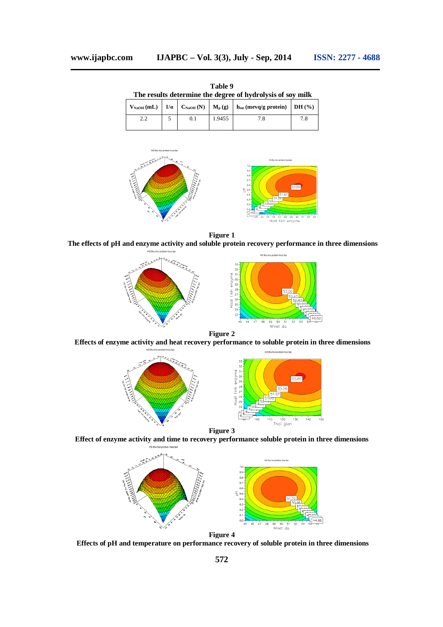**Table 9 The results determine the degree of hydrolysis of soy milk**  $V_{\text{NaOH}}$  **(mL)**  $|$   $1/\alpha$   $|$   $C_{\text{NaOH}}$  **(N)**  $|$   $M_p$  **(g)**  $|$   $h_{\text{tot}}$  **(mevq/g** protein)  $|$  DH **(%)** 2.2 5 0.1 1.9455 7.8 7.8



**Figure 1**

**The effects of pH and enzyme activity and soluble protein recovery performance in three dimensions**



**Figure 2**

**Effects of enzyme activity and heat recovery performance to soluble protein in three dimensions**



**Figure 3**

**Effect of enzyme activity and time to recovery performance soluble protein in three dimensions**



**Effects of pH and temperature on performance recovery of soluble protein in three dimensions**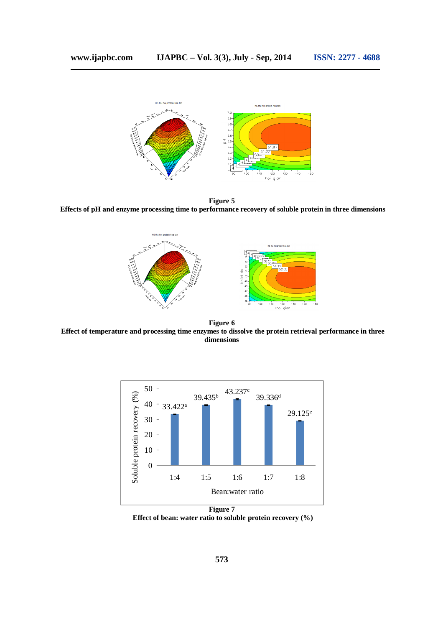

**Figure 5 Effects of pH and enzyme processing time to performance recovery of soluble protein in three dimensions**



**Figure 6 Effect of temperature and processing time enzymes to dissolve the protein retrieval performance in three dimensions**



**Effect of bean: water ratio to soluble protein recovery (%)**